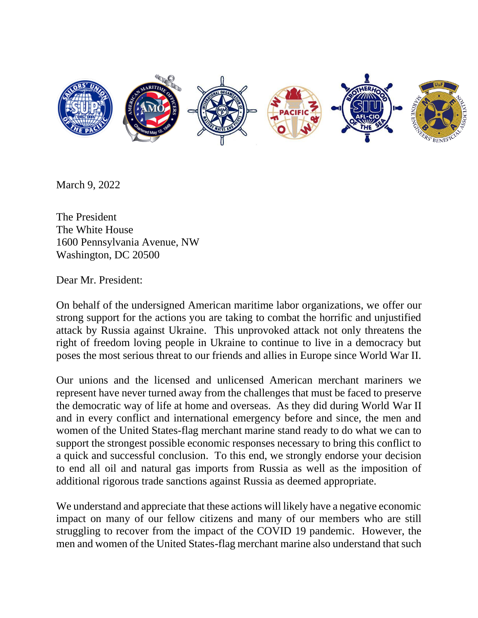

March 9, 2022

The President The White House 1600 Pennsylvania Avenue, NW Washington, DC 20500

Dear Mr. President:

On behalf of the undersigned American maritime labor organizations, we offer our strong support for the actions you are taking to combat the horrific and unjustified attack by Russia against Ukraine. This unprovoked attack not only threatens the right of freedom loving people in Ukraine to continue to live in a democracy but poses the most serious threat to our friends and allies in Europe since World War II.

Our unions and the licensed and unlicensed American merchant mariners we represent have never turned away from the challenges that must be faced to preserve the democratic way of life at home and overseas. As they did during World War II and in every conflict and international emergency before and since, the men and women of the United States-flag merchant marine stand ready to do what we can to support the strongest possible economic responses necessary to bring this conflict to a quick and successful conclusion. To this end, we strongly endorse your decision to end all oil and natural gas imports from Russia as well as the imposition of additional rigorous trade sanctions against Russia as deemed appropriate.

We understand and appreciate that these actions will likely have a negative economic impact on many of our fellow citizens and many of our members who are still struggling to recover from the impact of the COVID 19 pandemic. However, the men and women of the United States-flag merchant marine also understand that such